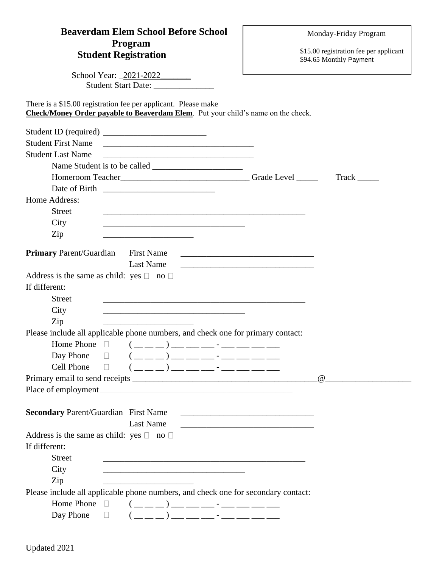## **Beaverdam Elem School Before School Program Student Registration**

Monday-Friday Program

\$15.00 registration fee per applicant \$94.65 Monthly Payment

| School Year: _2021-2022________                                                                                                                                                                                                                                                                                                                                                                                                                                                                          |                                                                                                                               |                         |
|----------------------------------------------------------------------------------------------------------------------------------------------------------------------------------------------------------------------------------------------------------------------------------------------------------------------------------------------------------------------------------------------------------------------------------------------------------------------------------------------------------|-------------------------------------------------------------------------------------------------------------------------------|-------------------------|
| Student Start Date: _______________                                                                                                                                                                                                                                                                                                                                                                                                                                                                      |                                                                                                                               |                         |
| There is a \$15.00 registration fee per applicant. Please make<br>Check/Money Order payable to Beaverdam Elem. Put your child's name on the check.                                                                                                                                                                                                                                                                                                                                                       |                                                                                                                               |                         |
|                                                                                                                                                                                                                                                                                                                                                                                                                                                                                                          |                                                                                                                               |                         |
| <b>Student First Name</b><br><u> 1980 - Jan Alexandro Alexandro Alexandro Alexandro Alexandro Alexandro Alexandro Alexandro Alexandro Alexandro </u>                                                                                                                                                                                                                                                                                                                                                     |                                                                                                                               |                         |
| <b>Student Last Name</b>                                                                                                                                                                                                                                                                                                                                                                                                                                                                                 |                                                                                                                               |                         |
|                                                                                                                                                                                                                                                                                                                                                                                                                                                                                                          |                                                                                                                               |                         |
|                                                                                                                                                                                                                                                                                                                                                                                                                                                                                                          |                                                                                                                               | $\text{T} \text{rack }$ |
|                                                                                                                                                                                                                                                                                                                                                                                                                                                                                                          |                                                                                                                               |                         |
| Home Address:                                                                                                                                                                                                                                                                                                                                                                                                                                                                                            |                                                                                                                               |                         |
| <b>Street</b><br>and the control of the control of the control of the control of the control of the control of the control of the                                                                                                                                                                                                                                                                                                                                                                        |                                                                                                                               |                         |
| City<br><u> 1989 - Johann Stein, marwolaethau a bhann an t-Amhain an t-Amhain an t-Amhain an t-Amhain an t-Amhain an t-A</u>                                                                                                                                                                                                                                                                                                                                                                             |                                                                                                                               |                         |
| Zip<br><u> 1989 - Johann Stein, mars an deus Amerikaansk kommunister (</u>                                                                                                                                                                                                                                                                                                                                                                                                                               |                                                                                                                               |                         |
|                                                                                                                                                                                                                                                                                                                                                                                                                                                                                                          |                                                                                                                               |                         |
| <b>Primary</b> Parent/Guardian<br><b>First Name</b><br><b>Last Name</b>                                                                                                                                                                                                                                                                                                                                                                                                                                  | <u> 1980 - Jan Samuel Barbara, margaret eta idazlea (h. 1980).</u>                                                            |                         |
| Address is the same as child: yes $\Box$ no $\Box$                                                                                                                                                                                                                                                                                                                                                                                                                                                       | <u> 1989 - Johann Stein, marwolaethau a bhann an t-Amhain an t-Amhain an t-Amhain an t-Amhain an t-Amhain an t-A</u>          |                         |
| If different:                                                                                                                                                                                                                                                                                                                                                                                                                                                                                            |                                                                                                                               |                         |
| <b>Street</b>                                                                                                                                                                                                                                                                                                                                                                                                                                                                                            |                                                                                                                               |                         |
| City                                                                                                                                                                                                                                                                                                                                                                                                                                                                                                     |                                                                                                                               |                         |
| <u> 2000 - Jan James James James James James James James James James James James James James James James James J</u><br>Zip                                                                                                                                                                                                                                                                                                                                                                              |                                                                                                                               |                         |
| <u> 1989 - Johann Barbara, martxa al III-lea (h. 1989).</u><br>Please include all applicable phone numbers, and check one for primary contact:                                                                                                                                                                                                                                                                                                                                                           |                                                                                                                               |                         |
| Home Phone $\Box$                                                                                                                                                                                                                                                                                                                                                                                                                                                                                        |                                                                                                                               |                         |
| Day Phone<br>$(\_\_ \_ \_ )\_\_ \_ \_ \_ \_ \_ \_$<br>$\perp$                                                                                                                                                                                                                                                                                                                                                                                                                                            |                                                                                                                               |                         |
| Cell Phone<br>$\Box$                                                                                                                                                                                                                                                                                                                                                                                                                                                                                     |                                                                                                                               |                         |
|                                                                                                                                                                                                                                                                                                                                                                                                                                                                                                          |                                                                                                                               | $\omega$                |
| Place of employment                                                                                                                                                                                                                                                                                                                                                                                                                                                                                      |                                                                                                                               |                         |
|                                                                                                                                                                                                                                                                                                                                                                                                                                                                                                          |                                                                                                                               |                         |
| <b>Secondary Parent/Guardian First Name</b>                                                                                                                                                                                                                                                                                                                                                                                                                                                              | <u> 1986 - Jan James James Barbara, president e</u>                                                                           |                         |
| <b>Last Name</b>                                                                                                                                                                                                                                                                                                                                                                                                                                                                                         | <u> 1989 - Johann John Stone, mars et al. 1989 - John Stone, mars et al. 1989 - John Stone, mars et al. 1989 - John Stone</u> |                         |
| Address is the same as child: yes $\Box$ no $\Box$                                                                                                                                                                                                                                                                                                                                                                                                                                                       |                                                                                                                               |                         |
| If different:                                                                                                                                                                                                                                                                                                                                                                                                                                                                                            |                                                                                                                               |                         |
| <b>Street</b><br><u> 1989 - Johann Barbara, martxa al III-lea (h. 1989).</u>                                                                                                                                                                                                                                                                                                                                                                                                                             |                                                                                                                               |                         |
| City<br><u> 1980 - Johann John Stone, mars eta biztanleria (h. 1980).</u>                                                                                                                                                                                                                                                                                                                                                                                                                                |                                                                                                                               |                         |
| Zip                                                                                                                                                                                                                                                                                                                                                                                                                                                                                                      |                                                                                                                               |                         |
| Please include all applicable phone numbers, and check one for secondary contact:                                                                                                                                                                                                                                                                                                                                                                                                                        |                                                                                                                               |                         |
| Home Phone $\Box$ $(\underline{\hspace{1cm}}\underline{\hspace{1cm}})$ $\underline{\hspace{1cm}}$ $\underline{\hspace{1cm}}$ $\underline{\hspace{1cm}}$ $\underline{\hspace{1cm}}$ $\underline{\hspace{1cm}}$ $\underline{\hspace{1cm}}$ $\underline{\hspace{1cm}}$ $\underline{\hspace{1cm}}$ $\underline{\hspace{1cm}}$ $\underline{\hspace{1cm}}$ $\underline{\hspace{1cm}}$ $\underline{\hspace{1cm}}$ $\underline{\hspace{1cm}}$ $\underline{\hspace{1cm}}$ $\underline{\hspace{1cm}}$ $\underline$ |                                                                                                                               |                         |

| TIONIC I NONC |  |  |
|---------------|--|--|
| Day Phone     |  |  |